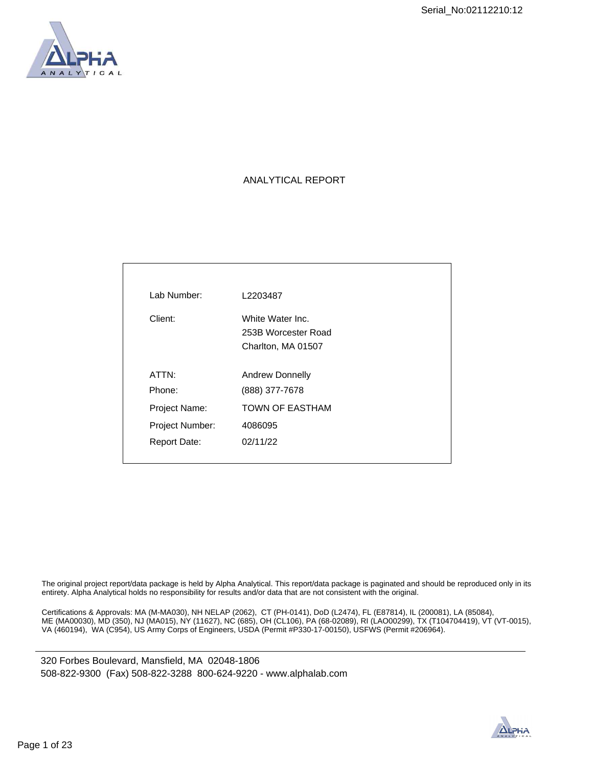

# ANALYTICAL REPORT

| Lab Number:         | L2203487                                                      |
|---------------------|---------------------------------------------------------------|
| Client:             | White Water Inc.<br>253B Worcester Road<br>Charlton, MA 01507 |
| ATTN:<br>Phone:     | Andrew Donnelly<br>(888) 377-7678                             |
| Project Name:       | <b>TOWN OF EASTHAM</b>                                        |
| Project Number:     | 4086095                                                       |
| <b>Report Date:</b> | 02/11/22                                                      |
|                     |                                                               |

The original project report/data package is held by Alpha Analytical. This report/data package is paginated and should be reproduced only in its entirety. Alpha Analytical holds no responsibility for results and/or data that are not consistent with the original.

Certifications & Approvals: MA (M-MA030), NH NELAP (2062), CT (PH-0141), DoD (L2474), FL (E87814), IL (200081), LA (85084), ME (MA00030), MD (350), NJ (MA015), NY (11627), NC (685), OH (CL106), PA (68-02089), RI (LAO00299), TX (T104704419), VT (VT-0015), VA (460194), WA (C954), US Army Corps of Engineers, USDA (Permit #P330-17-00150), USFWS (Permit #206964).

320 Forbes Boulevard, Mansfield, MA 02048-1806 508-822-9300 (Fax) 508-822-3288 800-624-9220 - www.alphalab.com

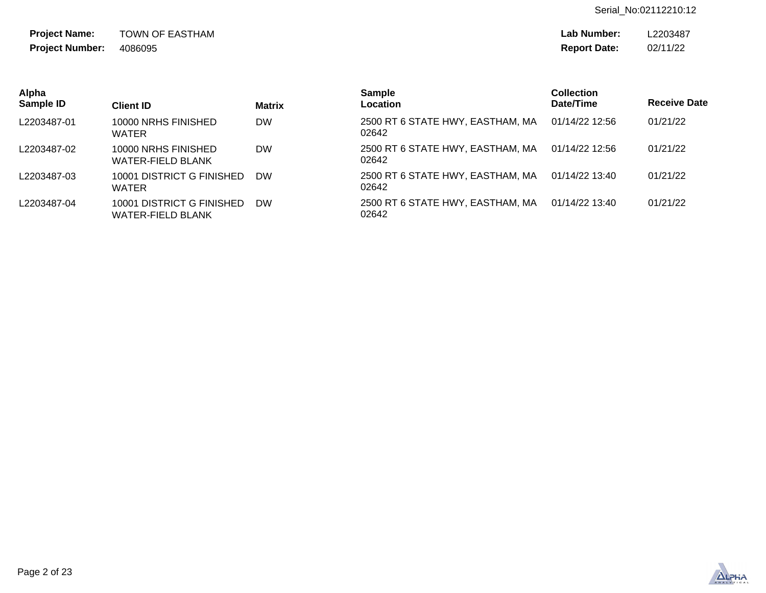Serial\_No:02112210:12

TOWN OF EASTHAM 4086095 **Project Name: Project Number:**

**Lab Number: Report Date:** L2203487 02/11/22

| Alpha<br>Sample ID | <b>Client ID</b>                               | <b>Matrix</b> | <b>Sample</b><br><b>Location</b>          | Collection<br>Date/Time | <b>Receive Date</b> |
|--------------------|------------------------------------------------|---------------|-------------------------------------------|-------------------------|---------------------|
| L2203487-01        | 10000 NRHS FINISHED<br><b>WATER</b>            | <b>DW</b>     | 2500 RT 6 STATE HWY, EASTHAM, MA<br>02642 | 01/14/22 12:56          | 01/21/22            |
| L2203487-02        | 10000 NRHS FINISHED<br>WATER-FIELD BLANK       | <b>DW</b>     | 2500 RT 6 STATE HWY, EASTHAM, MA<br>02642 | 01/14/22 12:56          | 01/21/22            |
| L2203487-03        | 10001 DISTRICT G FINISHED<br><b>WATER</b>      | <b>DW</b>     | 2500 RT 6 STATE HWY, EASTHAM, MA<br>02642 | 01/14/22 13:40          | 01/21/22            |
| L2203487-04        | 10001 DISTRICT G FINISHED<br>WATER-FIELD BLANK | <b>DW</b>     | 2500 RT 6 STATE HWY, EASTHAM, MA<br>02642 | 01/14/22 13:40          | 01/21/22            |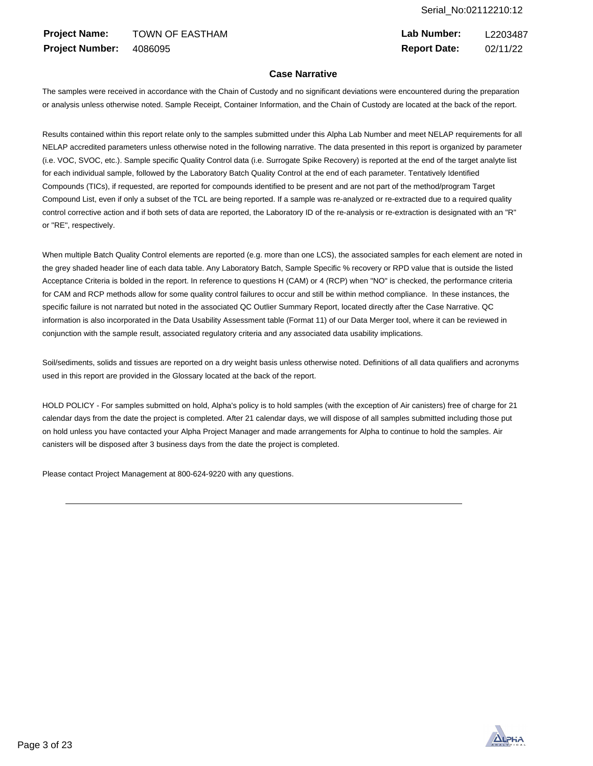TOWN OF EASTHAM 4086095 **Project Name: Project Number:**

**Lab Number: Report Date:** L2203487 02/11/22

# **Case Narrative**

The samples were received in accordance with the Chain of Custody and no significant deviations were encountered during the preparation or analysis unless otherwise noted. Sample Receipt, Container Information, and the Chain of Custody are located at the back of the report.

Results contained within this report relate only to the samples submitted under this Alpha Lab Number and meet NELAP requirements for all NELAP accredited parameters unless otherwise noted in the following narrative. The data presented in this report is organized by parameter (i.e. VOC, SVOC, etc.). Sample specific Quality Control data (i.e. Surrogate Spike Recovery) is reported at the end of the target analyte list for each individual sample, followed by the Laboratory Batch Quality Control at the end of each parameter. Tentatively Identified Compounds (TICs), if requested, are reported for compounds identified to be present and are not part of the method/program Target Compound List, even if only a subset of the TCL are being reported. If a sample was re-analyzed or re-extracted due to a required quality control corrective action and if both sets of data are reported, the Laboratory ID of the re-analysis or re-extraction is designated with an "R" or "RE", respectively.

When multiple Batch Quality Control elements are reported (e.g. more than one LCS), the associated samples for each element are noted in the grey shaded header line of each data table. Any Laboratory Batch, Sample Specific % recovery or RPD value that is outside the listed Acceptance Criteria is bolded in the report. In reference to questions H (CAM) or 4 (RCP) when "NO" is checked, the performance criteria for CAM and RCP methods allow for some quality control failures to occur and still be within method compliance. In these instances, the specific failure is not narrated but noted in the associated QC Outlier Summary Report, located directly after the Case Narrative. QC information is also incorporated in the Data Usability Assessment table (Format 11) of our Data Merger tool, where it can be reviewed in conjunction with the sample result, associated regulatory criteria and any associated data usability implications.

Soil/sediments, solids and tissues are reported on a dry weight basis unless otherwise noted. Definitions of all data qualifiers and acronyms used in this report are provided in the Glossary located at the back of the report.

HOLD POLICY - For samples submitted on hold, Alpha's policy is to hold samples (with the exception of Air canisters) free of charge for 21 calendar days from the date the project is completed. After 21 calendar days, we will dispose of all samples submitted including those put on hold unless you have contacted your Alpha Project Manager and made arrangements for Alpha to continue to hold the samples. Air canisters will be disposed after 3 business days from the date the project is completed.

Please contact Project Management at 800-624-9220 with any questions.

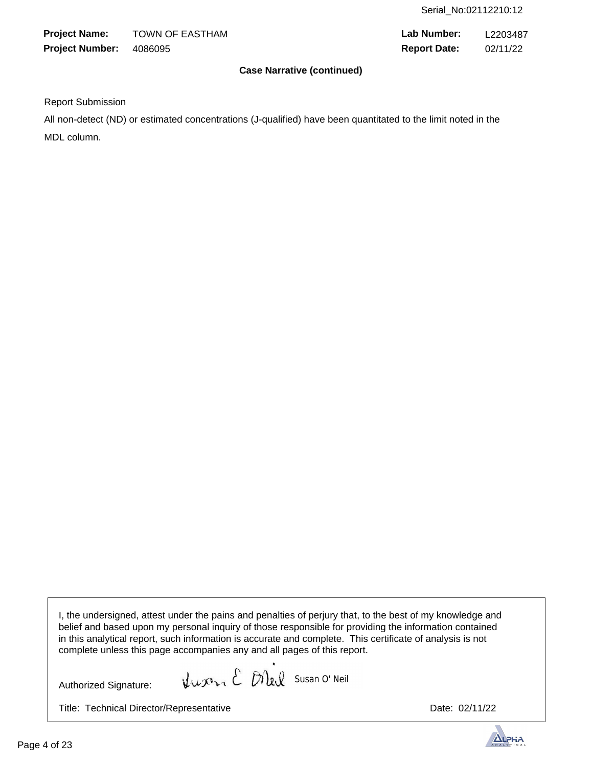TOWN OF EASTHAM 4086095 **Project Name: Project Number:**

**Lab Number: Report Date:** L2203487 02/11/22

# **Case Narrative (continued)**

Report Submission

All non-detect (ND) or estimated concentrations (J-qualified) have been quantitated to the limit noted in the MDL column.

 I, the undersigned, attest under the pains and penalties of perjury that, to the best of my knowledge and belief and based upon my personal inquiry of those responsible for providing the information contained in this analytical report, such information is accurate and complete. This certificate of analysis is not complete unless this page accompanies any and all pages of this report.

Authorized Signature:

Kurn E Diel Susan O' Neil

Title: Technical Director/Representative **Date: 02/11/22** Date: 02/11/22



 $\overline{\phantom{a}}$ 

 $\overline{\phantom{a}}$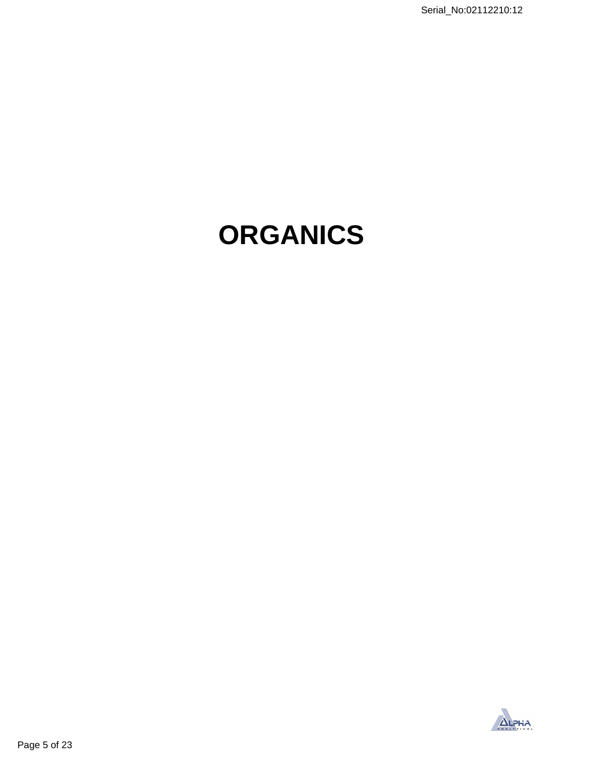# **ORGANICS**

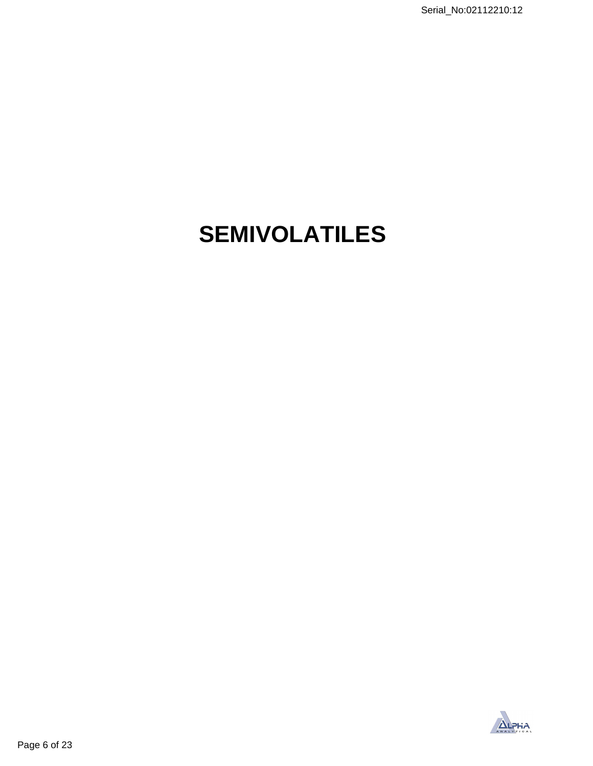# **SEMIVOLATILES**

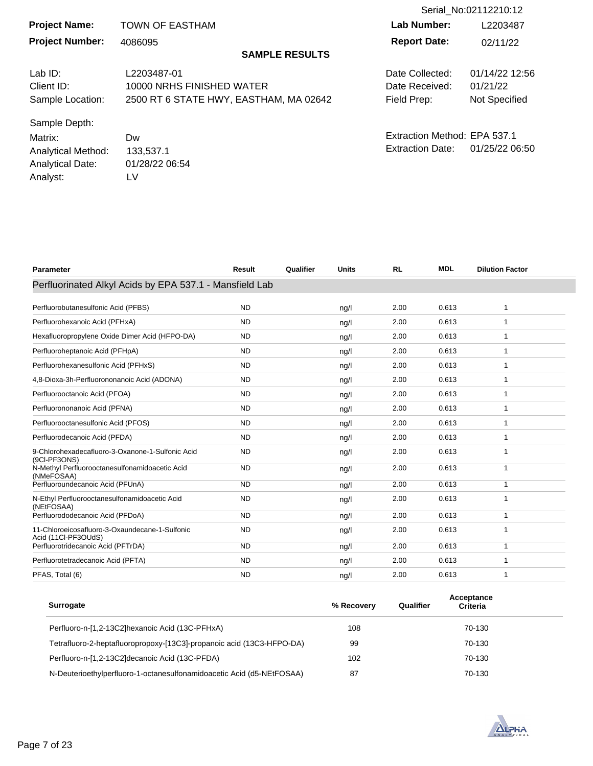| Serial No:02112210:12     |                                        |                              |                      |
|---------------------------|----------------------------------------|------------------------------|----------------------|
| <b>Project Name:</b>      | <b>TOWN OF EASTHAM</b>                 | Lab Number:                  | L2203487             |
| <b>Project Number:</b>    | 4086095                                | <b>Report Date:</b>          | 02/11/22             |
|                           | <b>SAMPLE RESULTS</b>                  |                              |                      |
| Lab $ID:$                 | L2203487-01                            | Date Collected:              | 01/14/22 12:56       |
| Client ID:                | 10000 NRHS FINISHED WATER              | Date Received:               | 01/21/22             |
| Sample Location:          | 2500 RT 6 STATE HWY, EASTHAM, MA 02642 | Field Prep:                  | <b>Not Specified</b> |
| Sample Depth:             |                                        |                              |                      |
| Matrix:                   | Dw                                     | Extraction Method: EPA 537.1 |                      |
| <b>Analytical Method:</b> | 133,537.1                              | <b>Extraction Date:</b>      | 01/25/22 06:50       |
| <b>Analytical Date:</b>   | 01/28/22 06:54                         |                              |                      |
| Analyst:                  | LV                                     |                              |                      |

| <b>Parameter</b>                                                      | Result    | Qualifier | <b>Units</b>   | <b>RL</b> | <b>MDL</b> | <b>Dilution Factor</b> |
|-----------------------------------------------------------------------|-----------|-----------|----------------|-----------|------------|------------------------|
| Perfluorinated Alkyl Acids by EPA 537.1 - Mansfield Lab               |           |           |                |           |            |                        |
| Perfluorobutanesulfonic Acid (PFBS)                                   | <b>ND</b> |           | nq/l           | 2.00      | 0.613      | 1                      |
| Perfluorohexanoic Acid (PFHxA)                                        | <b>ND</b> |           | nq/l           | 2.00      | 0.613      | 1                      |
| Hexafluoropropylene Oxide Dimer Acid (HFPO-DA)                        | <b>ND</b> |           | nq/l           | 2.00      | 0.613      | 1                      |
| Perfluoroheptanoic Acid (PFHpA)                                       | <b>ND</b> |           | nq/l           | 2.00      | 0.613      | 1                      |
| Perfluorohexanesulfonic Acid (PFHxS)                                  | <b>ND</b> |           | ng/l           | 2.00      | 0.613      | 1                      |
| 4,8-Dioxa-3h-Perfluorononanoic Acid (ADONA)                           | <b>ND</b> |           | nq/l           | 2.00      | 0.613      | 1                      |
| Perfluorooctanoic Acid (PFOA)                                         | <b>ND</b> |           | nq/l           | 2.00      | 0.613      | 1                      |
| Perfluorononanoic Acid (PFNA)                                         | <b>ND</b> |           | ng/l           | 2.00      | 0.613      | 1                      |
| Perfluorooctanesulfonic Acid (PFOS)                                   | <b>ND</b> |           | nq/l           | 2.00      | 0.613      | 1                      |
| Perfluorodecanoic Acid (PFDA)                                         | <b>ND</b> |           | nq/l           | 2.00      | 0.613      | 1                      |
| 9-Chlorohexadecafluoro-3-Oxanone-1-Sulfonic Acid<br>(9CI-PF3ONS)      | <b>ND</b> |           | ngl            | 2.00      | 0.613      | $\mathbf{1}$           |
| N-Methyl Perfluorooctanesulfonamidoacetic Acid<br>(NMeFOSAA)          | <b>ND</b> |           | ng/l           | 2.00      | 0.613      | $\mathbf{1}$           |
| Perfluoroundecanoic Acid (PFUnA)                                      | <b>ND</b> |           | nq/l           | 2.00      | 0.613      | $\mathbf{1}$           |
| N-Ethyl Perfluorooctanesulfonamidoacetic Acid<br>(NEtFOSAA)           | <b>ND</b> |           | nq/l           | 2.00      | 0.613      | 1                      |
| Perfluorododecanoic Acid (PFDoA)                                      | <b>ND</b> |           | nq/l           | 2.00      | 0.613      | 1                      |
| 11-Chloroeicosafluoro-3-Oxaundecane-1-Sulfonic<br>Acid (11Cl-PF3OUdS) | <b>ND</b> |           | $\frac{ng}{l}$ | 2.00      | 0.613      | 1                      |
| Perfluorotridecanoic Acid (PFTrDA)                                    | <b>ND</b> |           | nq/l           | 2.00      | 0.613      | 1                      |
| Perfluorotetradecanoic Acid (PFTA)                                    | <b>ND</b> |           | ng/l           | 2.00      | 0.613      | 1                      |
| PFAS, Total (6)                                                       | <b>ND</b> |           | $\frac{ng}{l}$ | 2.00      | 0.613      | 1                      |
|                                                                       |           |           |                |           |            |                        |

| <b>Surrogate</b>                                                      | % Recovery | Qualifier | Acceptance<br>Criteria |  |
|-----------------------------------------------------------------------|------------|-----------|------------------------|--|
| Perfluoro-n-[1,2-13C2]hexanoic Acid (13C-PFHxA)                       | 108        |           | 70-130                 |  |
| Tetrafluoro-2-heptafluoropropoxy-[13C3]-propanoic acid (13C3-HFPO-DA) | 99         |           | 70-130                 |  |
| Perfluoro-n-[1,2-13C2]decanoic Acid (13C-PFDA)                        | 102        |           | 70-130                 |  |
| N-Deuterioethylperfluoro-1-octanesulfonamidoacetic Acid (d5-NEtFOSAA) | 87         |           | 70-130                 |  |

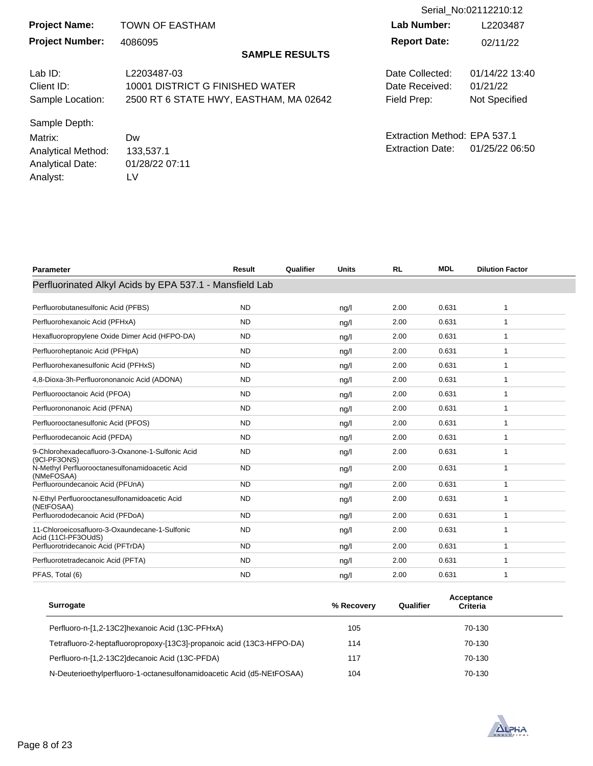|                         |                                        |                              | Serial No:02112210:12 |
|-------------------------|----------------------------------------|------------------------------|-----------------------|
| <b>Project Name:</b>    | <b>TOWN OF EASTHAM</b>                 | Lab Number:                  | L2203487              |
| <b>Project Number:</b>  | 4086095                                | <b>Report Date:</b>          | 02/11/22              |
|                         | <b>SAMPLE RESULTS</b>                  |                              |                       |
| Lab $ID:$               | L2203487-03                            | Date Collected:              | 01/14/22 13:40        |
| Client ID:              | 10001 DISTRICT G FINISHED WATER        | Date Received:               | 01/21/22              |
| Sample Location:        | 2500 RT 6 STATE HWY, EASTHAM, MA 02642 | Field Prep:                  | Not Specified         |
| Sample Depth:           |                                        |                              |                       |
| Matrix:                 | Dw                                     | Extraction Method: EPA 537.1 |                       |
| Analytical Method:      | 133,537.1                              | <b>Extraction Date:</b>      | 01/25/22 06:50        |
| <b>Analytical Date:</b> | 01/28/22 07:11                         |                              |                       |
| Analyst:                | LV                                     |                              |                       |

| <b>Parameter</b>                                                      | Result    | Qualifier | <b>Units</b> | <b>RL</b> | <b>MDL</b> | <b>Dilution Factor</b> |
|-----------------------------------------------------------------------|-----------|-----------|--------------|-----------|------------|------------------------|
| Perfluorinated Alkyl Acids by EPA 537.1 - Mansfield Lab               |           |           |              |           |            |                        |
| Perfluorobutanesulfonic Acid (PFBS)                                   | <b>ND</b> |           | ng/l         | 2.00      | 0.631      | 1                      |
| Perfluorohexanoic Acid (PFHxA)                                        | <b>ND</b> |           | ng/l         | 2.00      | 0.631      | 1                      |
| Hexafluoropropylene Oxide Dimer Acid (HFPO-DA)                        | <b>ND</b> |           | ng/l         | 2.00      | 0.631      | 1                      |
| Perfluoroheptanoic Acid (PFHpA)                                       | <b>ND</b> |           | ng/l         | 2.00      | 0.631      | 1                      |
| Perfluorohexanesulfonic Acid (PFHxS)                                  | <b>ND</b> |           | ng/l         | 2.00      | 0.631      | 1                      |
| 4,8-Dioxa-3h-Perfluorononanoic Acid (ADONA)                           | <b>ND</b> |           | nq/l         | 2.00      | 0.631      | 1                      |
| Perfluorooctanoic Acid (PFOA)                                         | <b>ND</b> |           | ng/l         | 2.00      | 0.631      | 1                      |
| Perfluorononanoic Acid (PFNA)                                         | <b>ND</b> |           | ng/l         | 2.00      | 0.631      | 1                      |
| Perfluorooctanesulfonic Acid (PFOS)                                   | <b>ND</b> |           | ng/l         | 2.00      | 0.631      |                        |
| Perfluorodecanoic Acid (PFDA)                                         | <b>ND</b> |           | ng/l         | 2.00      | 0.631      | 1                      |
| 9-Chlorohexadecafluoro-3-Oxanone-1-Sulfonic Acid<br>(9CI-PF3ONS)      | <b>ND</b> |           | ng/l         | 2.00      | 0.631      |                        |
| N-Methyl Perfluorooctanesulfonamidoacetic Acid<br>(NMeFOSAA)          | <b>ND</b> |           | ng/l         | 2.00      | 0.631      | 1                      |
| Perfluoroundecanoic Acid (PFUnA)                                      | <b>ND</b> |           | ng/l         | 2.00      | 0.631      | 1                      |
| N-Ethyl Perfluorooctanesulfonamidoacetic Acid<br>(NEtFOSAA)           | <b>ND</b> |           | ng/l         | 2.00      | 0.631      | 1                      |
| Perfluorododecanoic Acid (PFDoA)                                      | <b>ND</b> |           | nq/l         | 2.00      | 0.631      | 1                      |
| 11-Chloroeicosafluoro-3-Oxaundecane-1-Sulfonic<br>Acid (11Cl-PF3OUdS) | <b>ND</b> |           | ng/l         | 2.00      | 0.631      | 1                      |
| Perfluorotridecanoic Acid (PFTrDA)                                    | <b>ND</b> |           | ng/l         | 2.00      | 0.631      | 1                      |
| Perfluorotetradecanoic Acid (PFTA)                                    | <b>ND</b> |           | ng/l         | 2.00      | 0.631      | 1                      |
| PFAS, Total (6)                                                       | <b>ND</b> |           | ng/l         | 2.00      | 0.631      | 1                      |
|                                                                       |           |           |              |           |            |                        |

| <b>Surrogate</b>                                                      | % Recovery | Qualifier | Acceptance<br>Criteria |  |
|-----------------------------------------------------------------------|------------|-----------|------------------------|--|
| Perfluoro-n-[1,2-13C2]hexanoic Acid (13C-PFHxA)                       | 105        |           | 70-130                 |  |
| Tetrafluoro-2-heptafluoropropoxy-[13C3]-propanoic acid (13C3-HFPO-DA) | 114        |           | 70-130                 |  |
| Perfluoro-n-[1,2-13C2]decanoic Acid (13C-PFDA)                        | 117        |           | 70-130                 |  |
| N-Deuterioethylperfluoro-1-octanesulfonamidoacetic Acid (d5-NEtFOSAA) | 104        |           | 70-130                 |  |

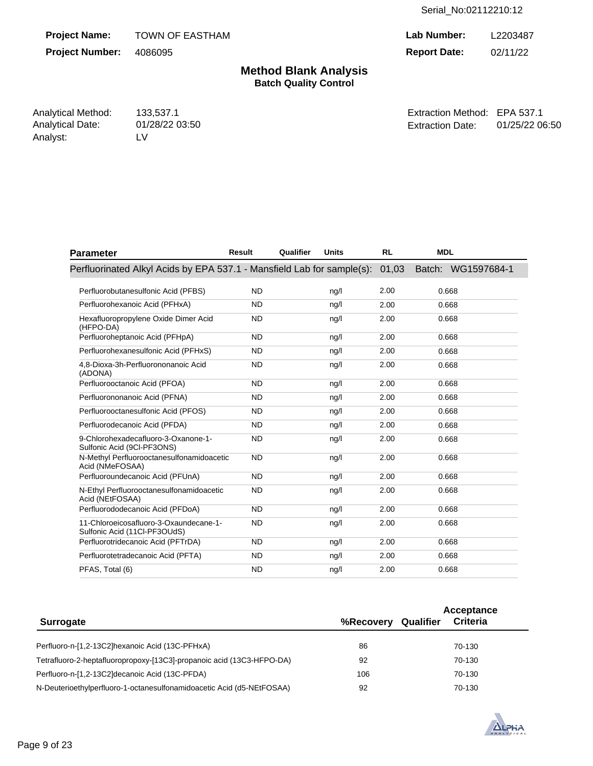**Project Name: Project Number:**  TOWN OF EASTHAM 4086095

**Lab Number: Report Date:**  L2203487 02/11/22

**Method Blank Analysis Batch Quality Control**

Analytical Method: 133,537.1 Analytical Date: Analyst: LV

01/28/22 03:50

Extraction Method: EPA 537.1 Extraction Date: 01/25/22 06:50

| <b>Parameter</b>                                                       | Result    | Qualifier | <b>Units</b>   | <b>RL</b> | <b>MDL</b>         |
|------------------------------------------------------------------------|-----------|-----------|----------------|-----------|--------------------|
| Perfluorinated Alkyl Acids by EPA 537.1 - Mansfield Lab for sample(s): |           |           |                | 01,03     | Batch: WG1597684-1 |
| Perfluorobutanesulfonic Acid (PFBS)                                    | <b>ND</b> |           | ng/l           | 2.00      | 0.668              |
| Perfluorohexanoic Acid (PFHxA)                                         | <b>ND</b> |           | ng/l           | 2.00      | 0.668              |
| Hexafluoropropylene Oxide Dimer Acid<br>(HFPO-DA)                      | <b>ND</b> |           | nq/l           | 2.00      | 0.668              |
| Perfluoroheptanoic Acid (PFHpA)                                        | <b>ND</b> |           | nq/l           | 2.00      | 0.668              |
| Perfluorohexanesulfonic Acid (PFHxS)                                   | <b>ND</b> |           | ng/l           | 2.00      | 0.668              |
| 4,8-Dioxa-3h-Perfluorononanoic Acid<br>(ADONA)                         | <b>ND</b> |           | ng/l           | 2.00      | 0.668              |
| Perfluorooctanoic Acid (PFOA)                                          | <b>ND</b> |           | nq/l           | 2.00      | 0.668              |
| Perfluorononanoic Acid (PFNA)                                          | <b>ND</b> |           | ng/l           | 2.00      | 0.668              |
| Perfluorooctanesulfonic Acid (PFOS)                                    | <b>ND</b> |           | ng/l           | 2.00      | 0.668              |
| Perfluorodecanoic Acid (PFDA)                                          | <b>ND</b> |           | ng/l           | 2.00      | 0.668              |
| 9-Chlorohexadecafluoro-3-Oxanone-1-<br>Sulfonic Acid (9CI-PF3ONS)      | <b>ND</b> |           | nq/l           | 2.00      | 0.668              |
| N-Methyl Perfluorooctanesulfonamidoacetic<br>Acid (NMeFOSAA)           | <b>ND</b> |           | nq/l           | 2.00      | 0.668              |
| Perfluoroundecanoic Acid (PFUnA)                                       | <b>ND</b> |           | ng/l           | 2.00      | 0.668              |
| N-Ethyl Perfluorooctanesulfonamidoacetic<br>Acid (NEtFOSAA)            | <b>ND</b> |           | ng/l           | 2.00      | 0.668              |
| Perfluorododecanoic Acid (PFDoA)                                       | <b>ND</b> |           | ng/l           | 2.00      | 0.668              |
| 11-Chloroeicosafluoro-3-Oxaundecane-1-<br>Sulfonic Acid (11Cl-PF3OUdS) | <b>ND</b> |           | ng/l           | 2.00      | 0.668              |
| Perfluorotridecanoic Acid (PFTrDA)                                     | <b>ND</b> |           | nq/l           | 2.00      | 0.668              |
| Perfluorotetradecanoic Acid (PFTA)                                     | <b>ND</b> |           | nq/l           | 2.00      | 0.668              |
| PFAS, Total (6)                                                        | <b>ND</b> |           | $\frac{ng}{l}$ | 2.00      | 0.668              |

| <b>Surrogate</b>                                                      | %Recovery | Qualifier | Acceptance<br><b>Criteria</b> |  |
|-----------------------------------------------------------------------|-----------|-----------|-------------------------------|--|
|                                                                       |           |           |                               |  |
| Perfluoro-n-[1,2-13C2]hexanoic Acid (13C-PFHxA)                       | 86        |           | 70-130                        |  |
| Tetrafluoro-2-heptafluoropropoxy-[13C3]-propanoic acid (13C3-HFPO-DA) | 92        |           | 70-130                        |  |
| Perfluoro-n-[1,2-13C2]decanoic Acid (13C-PFDA)                        | 106       |           | 70-130                        |  |
| N-Deuterioethylperfluoro-1-octanesulfonamidoacetic Acid (d5-NEtFOSAA) | 92        |           | 70-130                        |  |

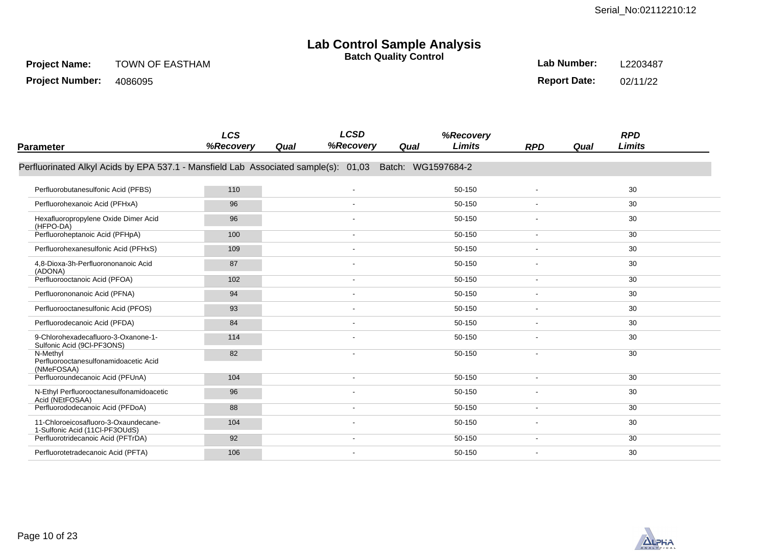# **Lab Control Sample Analysis**

**Batch Quality Control**

**Project Number:**  4086095 **Lab Number:**  L2203487

**Report Date:**  02/11/22

| Parameter                                                                           | <b>LCS</b><br>%Recovery | <b>LCSD</b><br>%Recovery<br>Qual | %Recovery<br>Limits<br>Qual | <b>RPD</b>               | <b>RPD</b><br>Limits<br>Qual |  |
|-------------------------------------------------------------------------------------|-------------------------|----------------------------------|-----------------------------|--------------------------|------------------------------|--|
|                                                                                     |                         |                                  |                             |                          |                              |  |
| Perfluorinated Alkyl Acids by EPA 537.1 - Mansfield Lab Associated sample(s): 01,03 |                         |                                  | Batch: WG1597684-2          |                          |                              |  |
|                                                                                     |                         |                                  |                             |                          |                              |  |
| Perfluorobutanesulfonic Acid (PFBS)                                                 | 110                     |                                  | 50-150                      |                          | 30                           |  |
| Perfluorohexanoic Acid (PFHxA)                                                      | 96                      |                                  | 50-150                      |                          | 30                           |  |
| Hexafluoropropylene Oxide Dimer Acid<br>(HFPO-DA)                                   | 96                      |                                  | 50-150                      |                          | 30                           |  |
| Perfluoroheptanoic Acid (PFHpA)                                                     | 100                     |                                  | 50-150                      | $\overline{a}$           | 30                           |  |
| Perfluorohexanesulfonic Acid (PFHxS)                                                | 109                     |                                  | 50-150                      |                          | 30                           |  |
| 4,8-Dioxa-3h-Perfluorononanoic Acid<br>(ADONA)                                      | 87                      |                                  | 50-150                      |                          | 30                           |  |
| Perfluorooctanoic Acid (PFOA)                                                       | 102                     |                                  | 50-150                      | $\overline{\phantom{a}}$ | 30                           |  |
| Perfluorononanoic Acid (PFNA)                                                       | 94                      |                                  | 50-150                      |                          | 30                           |  |
| Perfluorooctanesulfonic Acid (PFOS)                                                 | 93                      |                                  | 50-150                      |                          | 30                           |  |
| Perfluorodecanoic Acid (PFDA)                                                       | 84                      |                                  | 50-150                      |                          | 30                           |  |
| 9-Chlorohexadecafluoro-3-Oxanone-1-<br>Sulfonic Acid (9CI-PF3ONS)                   | 114                     |                                  | 50-150                      | $\overline{\phantom{a}}$ | 30                           |  |
| N-Methyl<br>Perfluorooctanesulfonamidoacetic Acid<br>(NMeFOSAA)                     | 82                      |                                  | 50-150                      |                          | 30                           |  |
| Perfluoroundecanoic Acid (PFUnA)                                                    | 104                     |                                  | 50-150                      | $\overline{\phantom{a}}$ | 30                           |  |
| N-Ethyl Perfluorooctanesulfonamidoacetic<br>Acid (NEtFOSAA)                         | 96                      |                                  | 50-150                      |                          | 30                           |  |
| Perfluorododecanoic Acid (PFDoA)                                                    | 88                      |                                  | 50-150                      | $\overline{\phantom{a}}$ | 30                           |  |
| 11-Chloroeicosafluoro-3-Oxaundecane-<br>1-Sulfonic Acid (11Cl-PF3OUdS)              | 104                     |                                  | 50-150                      |                          | 30                           |  |
| Perfluorotridecanoic Acid (PFTrDA)                                                  | 92                      |                                  | 50-150                      |                          | 30                           |  |
| Perfluorotetradecanoic Acid (PFTA)                                                  | 106                     |                                  | 50-150                      | $\overline{\phantom{a}}$ | 30                           |  |
|                                                                                     |                         |                                  |                             |                          |                              |  |

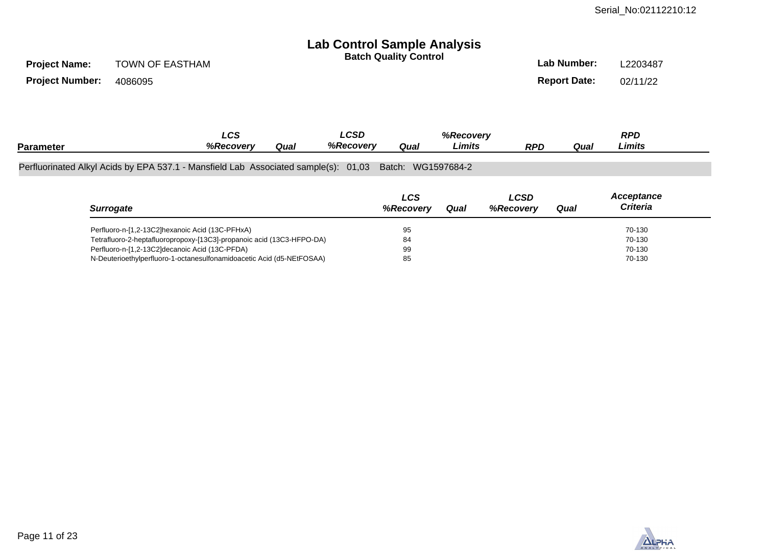# **Lab Control Sample Analysis**

| <b>Batch Quality Control</b> | Lab Number:         | L2203487 |
|------------------------------|---------------------|----------|
|                              | <b>Report Date:</b> | 02/11/22 |

| <b>Project Name:</b> | <b>TOWN OF EASTHAM</b> |
|----------------------|------------------------|
|                      |                        |

**Project Number:**  4086095

|                                                                                     | <b>LCS</b>       |      | ∟CSD      |                    | %Recoverv |     |      | <b>RPD</b> |  |
|-------------------------------------------------------------------------------------|------------------|------|-----------|--------------------|-----------|-----|------|------------|--|
| <b>Parameter</b>                                                                    | <b>%Recoverv</b> | Qual | %Recovery | Quai               | Limits    | RPD | Qual | Limits     |  |
|                                                                                     |                  |      |           |                    |           |     |      |            |  |
| Perfluorinated Alkyl Acids by EPA 537.1 - Mansfield Lab Associated sample(s): 01,03 |                  |      |           | Batch: WG1597684-2 |           |     |      |            |  |

|                                                                       | LCS              |      | LCSD      |      | Acceptance      |  |
|-----------------------------------------------------------------------|------------------|------|-----------|------|-----------------|--|
| <b>Surrogate</b>                                                      | <b>%Recoverv</b> | Qual | %Recovery | Qual | <b>Criteria</b> |  |
| Perfluoro-n-[1,2-13C2]hexanoic Acid (13C-PFHxA)                       | 95               |      |           |      | 70-130          |  |
| Tetrafluoro-2-heptafluoropropoxy-[13C3]-propanoic acid (13C3-HFPO-DA) | 84               |      |           |      | 70-130          |  |
| Perfluoro-n-[1,2-13C2]decanoic Acid (13C-PFDA)                        | 99               |      |           |      | 70-130          |  |
| N-Deuterioethylperfluoro-1-octanesulfonamidoacetic Acid (d5-NEtFOSAA) | 85               |      |           |      | 70-130          |  |

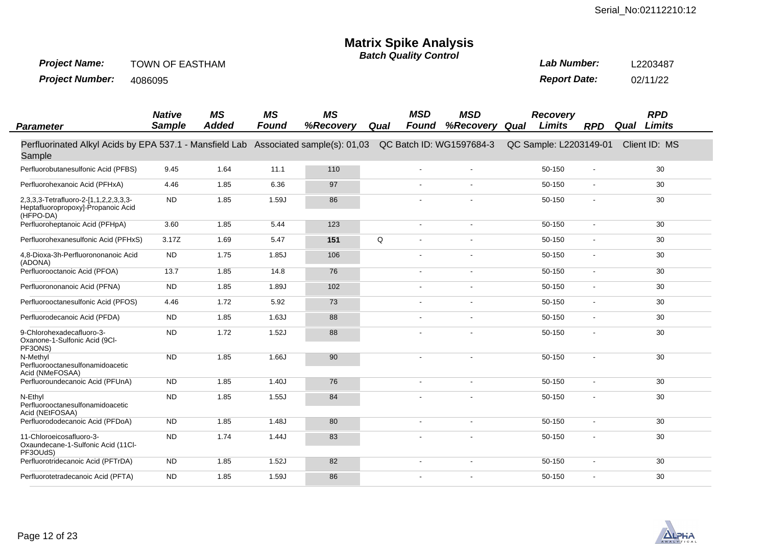# **Matrix Spike Analysis**

**Batch Quality Control**

**Project Name:**  TOWN OF EASTHAM

**Project Number:**  4086095 **Lab Number: Report Date:**  L2203487 02/11/22

| <b>Parameter</b>                                                                         | <b>Native</b><br><b>Sample</b> | <b>MS</b><br><b>Added</b> | <b>MS</b><br><b>Found</b> | <b>MS</b><br>%Recovery      | Qual        | <b>MSD</b><br><b>Found</b> | <b>MSD</b><br>%Recovery  | Qual | Recovery<br>Limits     | <b>RPD</b>               | Qual | <b>RPD</b><br><b>Limits</b> |  |
|------------------------------------------------------------------------------------------|--------------------------------|---------------------------|---------------------------|-----------------------------|-------------|----------------------------|--------------------------|------|------------------------|--------------------------|------|-----------------------------|--|
| Perfluorinated Alkyl Acids by EPA 537.1 - Mansfield Lab<br>Sample                        |                                |                           |                           | Associated sample(s): 01,03 |             |                            | QC Batch ID: WG1597684-3 |      | QC Sample: L2203149-01 |                          |      | Client ID: MS               |  |
| Perfluorobutanesulfonic Acid (PFBS)                                                      | 9.45                           | 1.64                      | 11.1                      | 110                         |             |                            |                          |      | 50-150                 |                          |      | 30                          |  |
| Perfluorohexanoic Acid (PFHxA)                                                           | 4.46                           | 1.85                      | 6.36                      | 97                          |             |                            | $\overline{a}$           |      | 50-150                 | $\overline{\phantom{a}}$ |      | 30                          |  |
| 2,3,3,3-Tetrafluoro-2-[1,1,2,2,3,3,3-<br>Heptafluoropropoxy]-Propanoic Acid<br>(HFPO-DA) | <b>ND</b>                      | 1.85                      | 1.59J                     | 86                          |             |                            | $\blacksquare$           |      | 50-150                 | $\overline{\phantom{a}}$ |      | 30                          |  |
| Perfluoroheptanoic Acid (PFHpA)                                                          | 3.60                           | 1.85                      | 5.44                      | 123                         |             | $\blacksquare$             | $\blacksquare$           |      | 50-150                 | $\overline{\phantom{a}}$ |      | 30                          |  |
| Perfluorohexanesulfonic Acid (PFHxS)                                                     | 3.17Z                          | 1.69                      | 5.47                      | 151                         | $\mathsf Q$ | $\overline{a}$             | $\overline{a}$           |      | 50-150                 | $\overline{\phantom{a}}$ |      | 30                          |  |
| 4,8-Dioxa-3h-Perfluorononanoic Acid<br>(ADONA)                                           | <b>ND</b>                      | 1.75                      | 1.85J                     | 106                         |             | $\overline{a}$             | $\overline{\phantom{a}}$ |      | 50-150                 | $\overline{\phantom{a}}$ |      | 30                          |  |
| Perfluorooctanoic Acid (PFOA)                                                            | 13.7                           | 1.85                      | 14.8                      | 76                          |             | $\blacksquare$             | $\blacksquare$           |      | 50-150                 | $\overline{\phantom{a}}$ |      | 30                          |  |
| Perfluorononanoic Acid (PFNA)                                                            | <b>ND</b>                      | 1.85                      | 1.89J                     | 102                         |             | $\overline{\phantom{a}}$   | $\blacksquare$           |      | 50-150                 | $\blacksquare$           |      | 30                          |  |
| Perfluorooctanesulfonic Acid (PFOS)                                                      | 4.46                           | 1.72                      | 5.92                      | 73                          |             | $\overline{\phantom{a}}$   | $\overline{\phantom{a}}$ |      | 50-150                 | $\overline{\phantom{a}}$ |      | 30                          |  |
| Perfluorodecanoic Acid (PFDA)                                                            | <b>ND</b>                      | 1.85                      | 1.63J                     | 88                          |             | $\blacksquare$             | $\blacksquare$           |      | 50-150                 | $\blacksquare$           |      | 30                          |  |
| 9-Chlorohexadecafluoro-3-<br>Oxanone-1-Sulfonic Acid (9Cl-<br>PF3ONS)                    | <b>ND</b>                      | 1.72                      | 1.52J                     | 88                          |             | $\overline{a}$             | $\blacksquare$           |      | 50-150                 | $\overline{\phantom{a}}$ |      | 30                          |  |
| N-Methyl<br>Perfluorooctanesulfonamidoacetic<br>Acid (NMeFOSAA)                          | <b>ND</b>                      | 1.85                      | 1.66J                     | 90                          |             | $\overline{\phantom{a}}$   | $\blacksquare$           |      | 50-150                 | $\overline{\phantom{a}}$ |      | 30 <sup>2</sup>             |  |
| Perfluoroundecanoic Acid (PFUnA)                                                         | <b>ND</b>                      | 1.85                      | 1.40J                     | 76                          |             | $\overline{a}$             | $\overline{\phantom{a}}$ |      | 50-150                 | $\overline{\phantom{a}}$ |      | 30                          |  |
| N-Ethyl<br>Perfluorooctanesulfonamidoacetic<br>Acid (NEtFOSAA)                           | <b>ND</b>                      | 1.85                      | 1.55J                     | 84                          |             |                            |                          |      | 50-150                 | $\overline{\phantom{a}}$ |      | 30                          |  |
| Perfluorododecanoic Acid (PFDoA)                                                         | <b>ND</b>                      | 1.85                      | 1.48J                     | 80                          |             | $\blacksquare$             | $\blacksquare$           |      | 50-150                 | $\blacksquare$           |      | 30                          |  |
| 11-Chloroeicosafluoro-3-<br>Oxaundecane-1-Sulfonic Acid (11Cl-<br>PF3OUdS)               | <b>ND</b>                      | 1.74                      | 1.44J                     | 83                          |             |                            | $\overline{a}$           |      | 50-150                 | $\overline{\phantom{a}}$ |      | 30                          |  |
| Perfluorotridecanoic Acid (PFTrDA)                                                       | <b>ND</b>                      | 1.85                      | 1.52J                     | 82                          |             | $\overline{\phantom{a}}$   | $\overline{\phantom{a}}$ |      | 50-150                 | $\blacksquare$           |      | 30                          |  |
| Perfluorotetradecanoic Acid (PFTA)                                                       | ${\sf ND}$                     | 1.85                      | 1.59J                     | 86                          |             | $\overline{\phantom{a}}$   | $\blacksquare$           |      | 50-150                 |                          |      | 30                          |  |

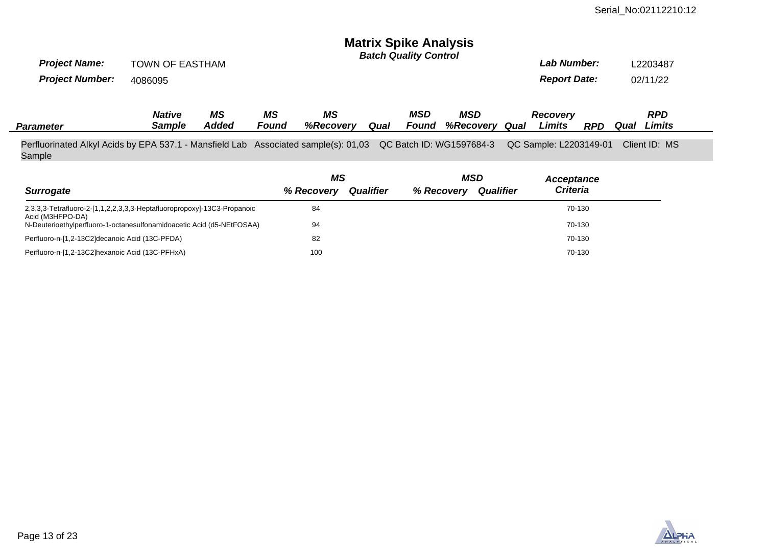# **Matrix Spike Analysis**

| <b>Project Name:</b><br><b>Project Number:</b> | TOWN OF EASTHAM<br>4086095 |             |             |                 |      | <b>Batch Quality Control</b> |                         |      | Lab Number:<br><b>Report Date:</b> |     | L2203487<br>02/11/22 |                      |  |
|------------------------------------------------|----------------------------|-------------|-------------|-----------------|------|------------------------------|-------------------------|------|------------------------------------|-----|----------------------|----------------------|--|
| <b>Parameter</b>                               | <b>Native</b><br>Sample    | ΜS<br>Added | ΜS<br>Found | MS<br>%Recovery | Qual | <b>MSD</b><br>Found          | MSD<br><b>%Recoverv</b> | Qual | <b>Recovery</b><br>Limits          | RPD | Qual                 | <b>RPD</b><br>Limits |  |

Perfluorinated Alkyl Acids by EPA 537.1 - Mansfield Lab Associated sample(s): 01,03 QC Batch ID: WG1597684-3 QC Sample: L2203149-01 Client ID: MS Sample

|                                                                                             | ΜS         |                  | <b>MSD</b> |                  | Acceptance      |  |
|---------------------------------------------------------------------------------------------|------------|------------------|------------|------------------|-----------------|--|
| <b>Surrogate</b>                                                                            | % Recovery | <b>Qualifier</b> | % Recovery | <b>Qualifier</b> | <b>Criteria</b> |  |
| 2,3,3,3-Tetrafluoro-2-[1,1,2,2,3,3,3-Heptafluoropropoxy]-13C3-Propanoic<br>Acid (M3HFPO-DA) | 84         |                  |            |                  | 70-130          |  |
| N-Deuterioethylperfluoro-1-octanesulfonamidoacetic Acid (d5-NEtFOSAA)                       | 94         |                  |            |                  | 70-130          |  |
| Perfluoro-n-[1,2-13C2]decanoic Acid (13C-PFDA)                                              | 82         |                  |            |                  | 70-130          |  |
| Perfluoro-n-[1,2-13C2]hexanoic Acid (13C-PFHxA)                                             | 100        |                  |            |                  | 70-130          |  |

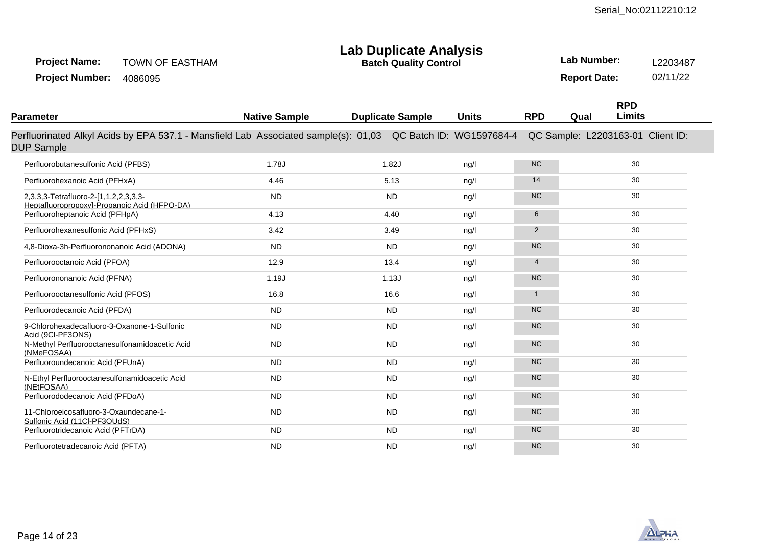# **Lab Duplicate Analysis**

TOWN OF EASTHAM **Project Name:**

**Batch Quality Control**

**Lab Number:** L2203487 **Report Date:** 02/11/22

Project Number: 4086095

| Parameter                                                                                                                         | <b>Native Sample</b> | <b>Duplicate Sample</b> | <b>Units</b>   | <b>RPD</b>     | <b>RPD</b><br><b>Limits</b><br>Qual |  |
|-----------------------------------------------------------------------------------------------------------------------------------|----------------------|-------------------------|----------------|----------------|-------------------------------------|--|
| Perfluorinated Alkyl Acids by EPA 537.1 - Mansfield Lab Associated sample(s): 01,03 QC Batch ID: WG1597684-4<br><b>DUP Sample</b> |                      |                         |                |                | QC Sample: L2203163-01 Client ID:   |  |
| Perfluorobutanesulfonic Acid (PFBS)                                                                                               | 1.78J                | 1.82J                   | nq/l           | <b>NC</b>      | 30                                  |  |
| Perfluorohexanoic Acid (PFHxA)                                                                                                    | 4.46                 | 5.13                    | $\frac{ng}{l}$ | 14             | 30                                  |  |
| 2,3,3,3-Tetrafluoro-2-[1,1,2,2,3,3,3-<br>Heptafluoropropoxy]-Propanoic Acid (HFPO-DA)                                             | <b>ND</b>            | <b>ND</b>               | nq/l           | <b>NC</b>      | 30                                  |  |
| Perfluoroheptanoic Acid (PFHpA)                                                                                                   | 4.13                 | 4.40                    | nq/l           | 6              | 30                                  |  |
| Perfluorohexanesulfonic Acid (PFHxS)                                                                                              | 3.42                 | 3.49                    | ng/l           | $\overline{2}$ | 30                                  |  |
| 4,8-Dioxa-3h-Perfluorononanoic Acid (ADONA)                                                                                       | <b>ND</b>            | <b>ND</b>               | nq/l           | <b>NC</b>      | 30                                  |  |
| Perfluorooctanoic Acid (PFOA)                                                                                                     | 12.9                 | 13.4                    | nq/l           | 4              | 30                                  |  |
| Perfluorononanoic Acid (PFNA)                                                                                                     | 1.19J                | 1.13J                   | ng/l           | <b>NC</b>      | 30                                  |  |
| Perfluorooctanesulfonic Acid (PFOS)                                                                                               | 16.8                 | 16.6                    | ng/l           | $\mathbf{1}$   | 30                                  |  |
| Perfluorodecanoic Acid (PFDA)                                                                                                     | <b>ND</b>            | <b>ND</b>               | nq/l           | <b>NC</b>      | 30                                  |  |
| 9-Chlorohexadecafluoro-3-Oxanone-1-Sulfonic<br>Acid (9CI-PF3ONS)                                                                  | <b>ND</b>            | <b>ND</b>               | nq/l           | <b>NC</b>      | 30                                  |  |
| N-Methyl Perfluorooctanesulfonamidoacetic Acid<br>(NMeFOSAA)                                                                      | <b>ND</b>            | <b>ND</b>               | nq/l           | <b>NC</b>      | 30                                  |  |
| Perfluoroundecanoic Acid (PFUnA)                                                                                                  | <b>ND</b>            | <b>ND</b>               | nq/l           | <b>NC</b>      | 30                                  |  |
| N-Ethyl Perfluorooctanesulfonamidoacetic Acid<br>(NEtFOSAA)                                                                       | <b>ND</b>            | <b>ND</b>               | nq/l           | <b>NC</b>      | 30                                  |  |
| Perfluorododecanoic Acid (PFDoA)                                                                                                  | <b>ND</b>            | <b>ND</b>               | ng/l           | <b>NC</b>      | 30                                  |  |
| 11-Chloroeicosafluoro-3-Oxaundecane-1-<br>Sulfonic Acid (11Cl-PF3OUdS)                                                            | <b>ND</b>            | <b>ND</b>               | nq/l           | <b>NC</b>      | 30                                  |  |
| Perfluorotridecanoic Acid (PFTrDA)                                                                                                | <b>ND</b>            | <b>ND</b>               | ng/l           | <b>NC</b>      | 30                                  |  |
| Perfluorotetradecanoic Acid (PFTA)                                                                                                | <b>ND</b>            | <b>ND</b>               | nq/l           | <b>NC</b>      | 30                                  |  |

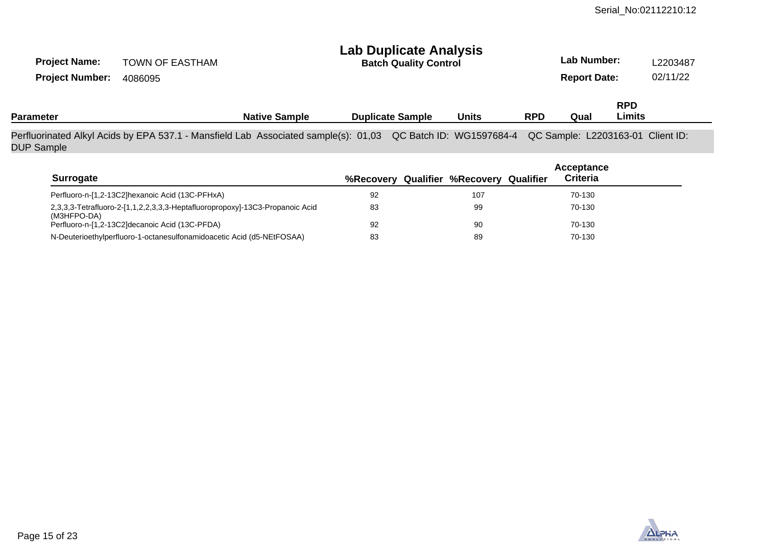| <b>Project Name:</b><br><b>Project Number:</b> | <b>TOWN OF EASTHAM</b><br>4086095                                                   | <b>Lab Duplicate Analysis</b><br><b>Batch Quality Control</b> |                         |  |                                         |            |                                   | Lab Number:<br><b>Report Date:</b> |  |
|------------------------------------------------|-------------------------------------------------------------------------------------|---------------------------------------------------------------|-------------------------|--|-----------------------------------------|------------|-----------------------------------|------------------------------------|--|
| <b>Parameter</b>                               |                                                                                     | <b>Native Sample</b>                                          | <b>Duplicate Sample</b> |  | <b>Units</b>                            | <b>RPD</b> | Qual                              | <b>RPD</b><br>Limits               |  |
| <b>DUP Sample</b>                              | Perfluorinated Alkyl Acids by EPA 537.1 - Mansfield Lab Associated sample(s): 01,03 |                                                               |                         |  | QC Batch ID: WG1597684-4                |            | QC Sample: L2203163-01 Client ID: |                                    |  |
| <b>Surrogate</b>                               |                                                                                     |                                                               |                         |  | %Recovery Qualifier %Recovery Qualifier |            | Acceptance<br><b>Criteria</b>     |                                    |  |
|                                                | Perfluoro-n-[1,2-13C2]hexanoic Acid (13C-PFHxA)                                     |                                                               | 92                      |  | 107                                     |            | 70-130                            |                                    |  |
|                                                | 2,3,3,3-Tetrafluoro-2-[1,1,2,2,3,3,3-Heptafluoropropoxy]-13C3-Propanoic Acid        |                                                               | 83                      |  | 99                                      |            | 70-130                            |                                    |  |

92 83 90 89 70-130 70-130

| NALYTICAL |
|-----------|

(M3HFPO-DA)

Perfluoro-n-[1,2-13C2]decanoic Acid (13C-PFDA)

N-Deuterioethylperfluoro-1-octanesulfonamidoacetic Acid (d5-NEtFOSAA)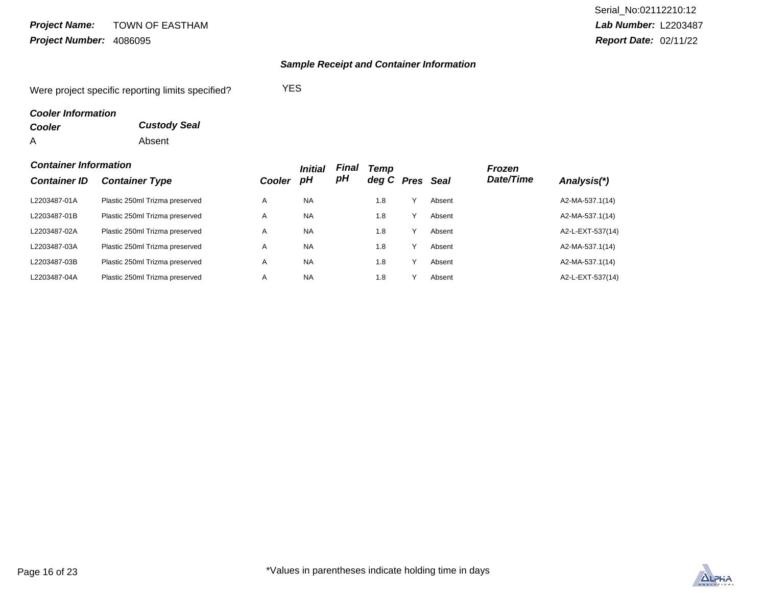### TOWN OF EASTHAM Project Number: 4086095 **Project Name:**

# **Sample Receipt and Container Information**

Were project specific reporting limits specified? YES

# **Cooler Information**

| <b>Cooler</b> | <b>Custody Seal</b> |
|---------------|---------------------|
| Α             | Absent              |

## **Container Information**

|                     | Container Information          |               |           | Final | Temp  |      |             | Frozen    |                  |
|---------------------|--------------------------------|---------------|-----------|-------|-------|------|-------------|-----------|------------------|
| <b>Container ID</b> | <b>Container Type</b>          | <b>Cooler</b> | рH        | рH    | deg C | Pres | <b>Seal</b> | Date/Time | Analysis(*)      |
| L2203487-01A        | Plastic 250ml Trizma preserved | A             | <b>NA</b> |       | 1.8   |      | Absent      |           | A2-MA-537.1(14)  |
| L2203487-01B        | Plastic 250ml Trizma preserved | A             | <b>NA</b> |       | 1.8   |      | Absent      |           | A2-MA-537.1(14)  |
| L2203487-02A        | Plastic 250ml Trizma preserved | A             | <b>NA</b> |       | 1.8   |      | Absent      |           | A2-L-EXT-537(14) |
| L2203487-03A        | Plastic 250ml Trizma preserved | A             | <b>NA</b> |       | 1.8   |      | Absent      |           | A2-MA-537.1(14)  |
| L2203487-03B        | Plastic 250ml Trizma preserved | A             | <b>NA</b> |       | 1.8   |      | Absent      |           | A2-MA-537.1(14)  |
| L2203487-04A        | Plastic 250ml Trizma preserved | A             | <b>NA</b> |       | 1.8   |      | Absent      |           | A2-L-EXT-537(14) |

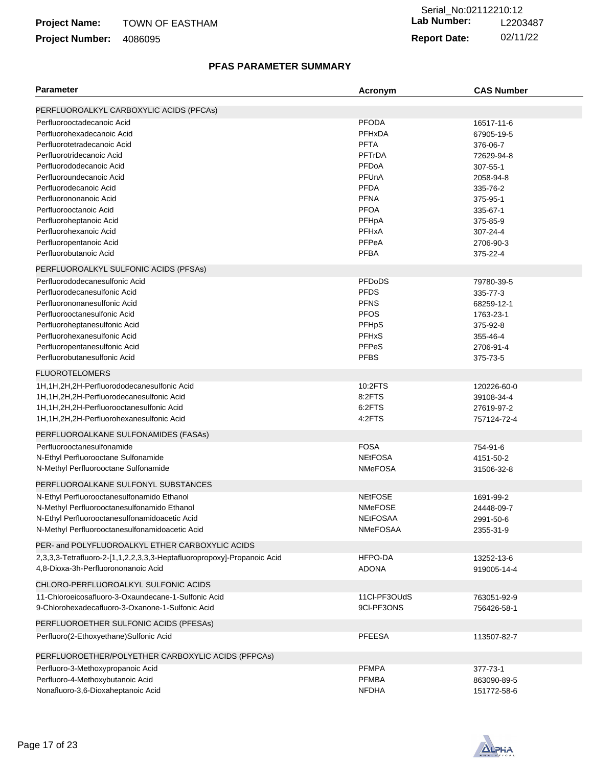#### TOWN OF EASTHAM **Project Name:**

# Project Number: 4086095

# **Lab Number:** L2203487 **Report Date:** 02/11/22 Serial\_No:02112210:12

# **PFAS PARAMETER SUMMARY**

| <b>Parameter</b>                                                        | Acronym         | <b>CAS Number</b> |
|-------------------------------------------------------------------------|-----------------|-------------------|
|                                                                         |                 |                   |
| PERFLUOROALKYL CARBOXYLIC ACIDS (PFCAs)                                 |                 |                   |
| Perfluorooctadecanoic Acid                                              | <b>PFODA</b>    | 16517-11-6        |
| Perfluorohexadecanoic Acid                                              | <b>PFHxDA</b>   | 67905-19-5        |
| Perfluorotetradecanoic Acid                                             | <b>PFTA</b>     | 376-06-7          |
| Perfluorotridecanoic Acid                                               | <b>PFTrDA</b>   | 72629-94-8        |
| Perfluorododecanoic Acid                                                | PFDoA           | 307-55-1          |
| Perfluoroundecanoic Acid                                                | PFUnA           | 2058-94-8         |
| Perfluorodecanoic Acid                                                  | <b>PFDA</b>     | 335-76-2          |
| Perfluorononanoic Acid                                                  | <b>PFNA</b>     | 375-95-1          |
| Perfluorooctanoic Acid                                                  | <b>PFOA</b>     | 335-67-1          |
| Perfluoroheptanoic Acid                                                 | PFHpA           | 375-85-9          |
| Perfluorohexanoic Acid                                                  | <b>PFHxA</b>    | 307-24-4          |
| Perfluoropentanoic Acid                                                 | PFPeA           | 2706-90-3         |
| Perfluorobutanoic Acid                                                  | <b>PFBA</b>     | 375-22-4          |
| PERFLUOROALKYL SULFONIC ACIDS (PFSAs)                                   |                 |                   |
| Perfluorododecanesulfonic Acid                                          | <b>PFDoDS</b>   | 79780-39-5        |
| Perfluorodecanesulfonic Acid                                            | <b>PFDS</b>     | 335-77-3          |
| Perfluorononanesulfonic Acid                                            | <b>PFNS</b>     | 68259-12-1        |
| Perfluorooctanesulfonic Acid                                            | <b>PFOS</b>     | 1763-23-1         |
| Perfluoroheptanesulfonic Acid                                           | PFHpS           | 375-92-8          |
| Perfluorohexanesulfonic Acid                                            | <b>PFHxS</b>    | 355-46-4          |
| Perfluoropentanesulfonic Acid                                           | <b>PFPeS</b>    | 2706-91-4         |
| Perfluorobutanesulfonic Acid                                            | <b>PFBS</b>     | 375-73-5          |
| <b>FLUOROTELOMERS</b>                                                   |                 |                   |
| 1H,1H,2H,2H-Perfluorododecanesulfonic Acid                              | 10:2FTS         | 120226-60-0       |
| 1H, 1H, 2H, 2H-Perfluorodecanesulfonic Acid                             | 8:2FTS          | 39108-34-4        |
| 1H, 1H, 2H, 2H-Perfluorooctanesulfonic Acid                             | 6:2FTS          | 27619-97-2        |
| 1H, 1H, 2H, 2H-Perfluorohexanesulfonic Acid                             | 4:2FTS          | 757124-72-4       |
| PERFLUOROALKANE SULFONAMIDES (FASAs)                                    |                 |                   |
| Perfluorooctanesulfonamide                                              | <b>FOSA</b>     | 754-91-6          |
| N-Ethyl Perfluorooctane Sulfonamide                                     | <b>NEtFOSA</b>  | 4151-50-2         |
| N-Methyl Perfluorooctane Sulfonamide                                    | <b>NMeFOSA</b>  | 31506-32-8        |
|                                                                         |                 |                   |
| PERFLUOROALKANE SULFONYL SUBSTANCES                                     |                 |                   |
| N-Ethyl Perfluorooctanesulfonamido Ethanol                              | <b>NEtFOSE</b>  | 1691-99-2         |
| N-Methyl Perfluorooctanesulfonamido Ethanol                             | <b>NMeFOSE</b>  | 24448-09-7        |
| N-Ethyl Perfluorooctanesulfonamidoacetic Acid                           | <b>NEtFOSAA</b> | 2991-50-6         |
| N-Methyl Perfluorooctanesulfonamidoacetic Acid                          | <b>NMeFOSAA</b> | 2355-31-9         |
| PER- and POLYFLUOROALKYL ETHER CARBOXYLIC ACIDS                         |                 |                   |
| 2,3,3,3-Tetrafluoro-2-[1,1,2,2,3,3,3-Heptafluoropropoxy]-Propanoic Acid | HFPO-DA         | 13252-13-6        |
| 4,8-Dioxa-3h-Perfluorononanoic Acid                                     | <b>ADONA</b>    | 919005-14-4       |
| CHLORO-PERFLUOROALKYL SULFONIC ACIDS                                    |                 |                   |
| 11-Chloroeicosafluoro-3-Oxaundecane-1-Sulfonic Acid                     | 11Cl-PF3OUdS    | 763051-92-9       |
| 9-Chlorohexadecafluoro-3-Oxanone-1-Sulfonic Acid                        | 9CI-PF3ONS      | 756426-58-1       |
|                                                                         |                 |                   |
| PERFLUOROETHER SULFONIC ACIDS (PFESAs)                                  |                 |                   |
| Perfluoro(2-Ethoxyethane) Sulfonic Acid                                 | <b>PFEESA</b>   | 113507-82-7       |
| PERFLUOROETHER/POLYETHER CARBOXYLIC ACIDS (PFPCAs)                      |                 |                   |
| Perfluoro-3-Methoxypropanoic Acid                                       | <b>PFMPA</b>    | 377-73-1          |
| Perfluoro-4-Methoxybutanoic Acid                                        | <b>PFMBA</b>    | 863090-89-5       |
| Nonafluoro-3,6-Dioxaheptanoic Acid                                      | <b>NFDHA</b>    | 151772-58-6       |

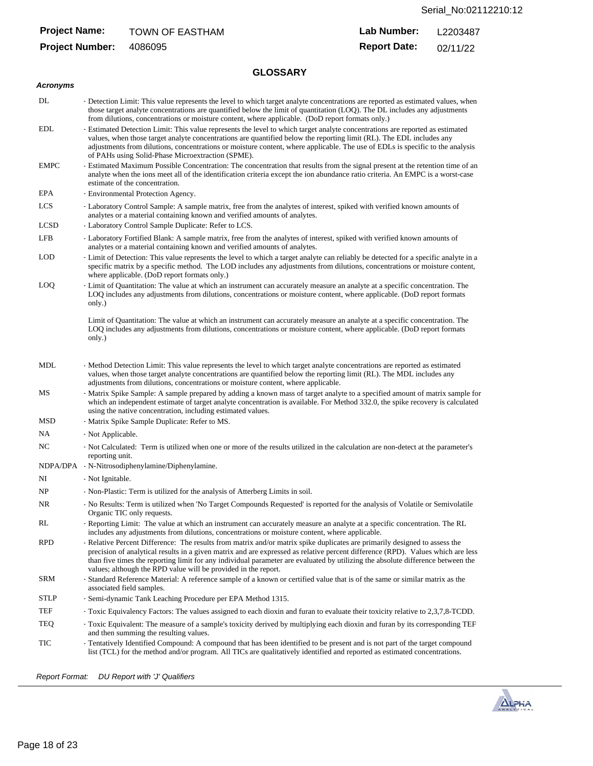# **Project Name:**

**Project Number:**

#### **Lab Number:** TOWN OF EASTHAM Lab Number: L2203487

4086095 **Report Date:** 02/11/22

# **GLOSSARY**

# **Acronyms**

| DL   | - Detection Limit: This value represents the level to which target analyte concentrations are reported as estimated values, when<br>those target analyte concentrations are quantified below the limit of quantitation (LOQ). The DL includes any adjustments<br>from dilutions, concentrations or moisture content, where applicable. (DoD report formats only.)                                                                                                  |  |  |  |  |  |  |
|------|--------------------------------------------------------------------------------------------------------------------------------------------------------------------------------------------------------------------------------------------------------------------------------------------------------------------------------------------------------------------------------------------------------------------------------------------------------------------|--|--|--|--|--|--|
| EDL  | - Estimated Detection Limit: This value represents the level to which target analyte concentrations are reported as estimated<br>values, when those target analyte concentrations are quantified below the reporting limit (RL). The EDL includes any<br>adjustments from dilutions, concentrations or moisture content, where applicable. The use of EDLs is specific to the analysis<br>of PAHs using Solid-Phase Microextraction (SPME).                        |  |  |  |  |  |  |
| EMPC | - Estimated Maximum Possible Concentration: The concentration that results from the signal present at the retention time of an<br>analyte when the ions meet all of the identification criteria except the ion abundance ratio criteria. An EMPC is a worst-case<br>estimate of the concentration.                                                                                                                                                                 |  |  |  |  |  |  |
| EPA  | - Environmental Protection Agency.                                                                                                                                                                                                                                                                                                                                                                                                                                 |  |  |  |  |  |  |
| LCS  | - Laboratory Control Sample: A sample matrix, free from the analytes of interest, spiked with verified known amounts of<br>analytes or a material containing known and verified amounts of analytes.                                                                                                                                                                                                                                                               |  |  |  |  |  |  |
| LCSD | - Laboratory Control Sample Duplicate: Refer to LCS.                                                                                                                                                                                                                                                                                                                                                                                                               |  |  |  |  |  |  |
| LFB  | - Laboratory Fortified Blank: A sample matrix, free from the analytes of interest, spiked with verified known amounts of<br>analytes or a material containing known and verified amounts of analytes.                                                                                                                                                                                                                                                              |  |  |  |  |  |  |
| LOD  | - Limit of Detection: This value represents the level to which a target analyte can reliably be detected for a specific analyte in a<br>specific matrix by a specific method. The LOD includes any adjustments from dilutions, concentrations or moisture content,<br>where applicable. (DoD report formats only.)                                                                                                                                                 |  |  |  |  |  |  |
| LOQ  | - Limit of Quantitation: The value at which an instrument can accurately measure an analyte at a specific concentration. The<br>LOQ includes any adjustments from dilutions, concentrations or moisture content, where applicable. (DoD report formats<br>only.)                                                                                                                                                                                                   |  |  |  |  |  |  |
|      | Limit of Quantitation: The value at which an instrument can accurately measure an analyte at a specific concentration. The<br>LOQ includes any adjustments from dilutions, concentrations or moisture content, where applicable. (DoD report formats<br>only.)                                                                                                                                                                                                     |  |  |  |  |  |  |
| MDL  | - Method Detection Limit: This value represents the level to which target analyte concentrations are reported as estimated<br>values, when those target analyte concentrations are quantified below the reporting limit (RL). The MDL includes any<br>adjustments from dilutions, concentrations or moisture content, where applicable.                                                                                                                            |  |  |  |  |  |  |
| MS   | - Matrix Spike Sample: A sample prepared by adding a known mass of target analyte to a specified amount of matrix sample for<br>which an independent estimate of target analyte concentration is available. For Method 332.0, the spike recovery is calculated<br>using the native concentration, including estimated values.                                                                                                                                      |  |  |  |  |  |  |
| MSD  | - Matrix Spike Sample Duplicate: Refer to MS.                                                                                                                                                                                                                                                                                                                                                                                                                      |  |  |  |  |  |  |
| NA   | - Not Applicable.                                                                                                                                                                                                                                                                                                                                                                                                                                                  |  |  |  |  |  |  |
| NC   | - Not Calculated: Term is utilized when one or more of the results utilized in the calculation are non-detect at the parameter's<br>reporting unit.                                                                                                                                                                                                                                                                                                                |  |  |  |  |  |  |
|      | NDPA/DPA - N-Nitrosodiphenylamine/Diphenylamine.                                                                                                                                                                                                                                                                                                                                                                                                                   |  |  |  |  |  |  |
| NI   | - Not Ignitable.                                                                                                                                                                                                                                                                                                                                                                                                                                                   |  |  |  |  |  |  |
| NP   | - Non-Plastic: Term is utilized for the analysis of Atterberg Limits in soil.                                                                                                                                                                                                                                                                                                                                                                                      |  |  |  |  |  |  |
| NR   | - No Results: Term is utilized when 'No Target Compounds Requested' is reported for the analysis of Volatile or Semivolatile<br>Organic TIC only requests.                                                                                                                                                                                                                                                                                                         |  |  |  |  |  |  |
| RL   | - Reporting Limit: The value at which an instrument can accurately measure an analyte at a specific concentration. The RL<br>includes any adjustments from dilutions, concentrations or moisture content, where applicable.                                                                                                                                                                                                                                        |  |  |  |  |  |  |
| RPD  | - Relative Percent Difference: The results from matrix and/or matrix spike duplicates are primarily designed to assess the<br>precision of analytical results in a given matrix and are expressed as relative percent difference (RPD). Values which are less<br>than five times the reporting limit for any individual parameter are evaluated by utilizing the absolute difference between the<br>values; although the RPD value will be provided in the report. |  |  |  |  |  |  |
| SRM  | - Standard Reference Material: A reference sample of a known or certified value that is of the same or similar matrix as the<br>associated field samples.                                                                                                                                                                                                                                                                                                          |  |  |  |  |  |  |
| STLP | - Semi-dynamic Tank Leaching Procedure per EPA Method 1315.                                                                                                                                                                                                                                                                                                                                                                                                        |  |  |  |  |  |  |
| TEF  | - Toxic Equivalency Factors: The values assigned to each dioxin and furan to evaluate their toxicity relative to 2,3,7,8-TCDD.                                                                                                                                                                                                                                                                                                                                     |  |  |  |  |  |  |
| TEQ  | - Toxic Equivalent: The measure of a sample's toxicity derived by multiplying each dioxin and furan by its corresponding TEF<br>and then summing the resulting values.                                                                                                                                                                                                                                                                                             |  |  |  |  |  |  |
| TIC  | - Tentatively Identified Compound: A compound that has been identified to be present and is not part of the target compound<br>list (TCL) for the method and/or program. All TICs are qualitatively identified and reported as estimated concentrations.                                                                                                                                                                                                           |  |  |  |  |  |  |

Report Format: DU Report with 'J' Qualifiers

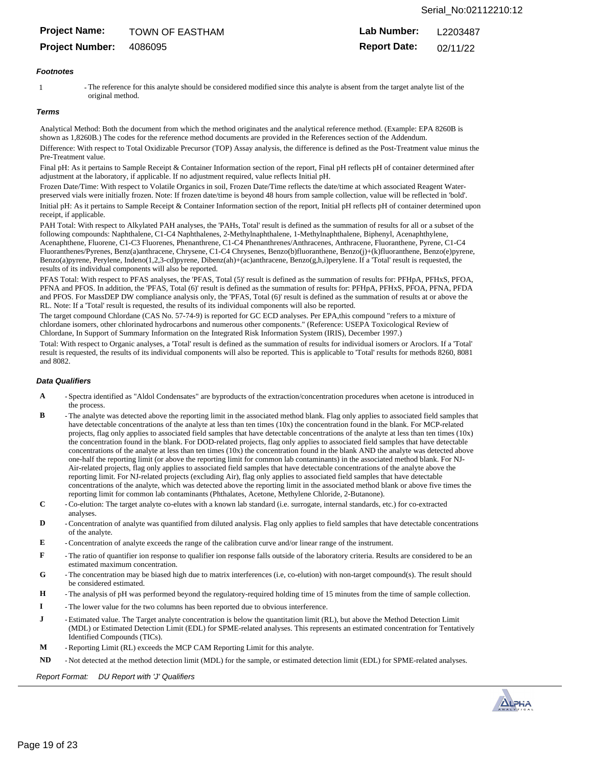# **Project Name:**

**Project Number:**

#### **Lab Number:** TOWN OF EASTHAM **Lab Number:** L2203487

4086095 **Report Date:** 02/11/22

### **Footnotes**

1 The reference for this analyte should be considered modified since this analyte is absent from the target analyte list of the original method.

### **Terms**

Analytical Method: Both the document from which the method originates and the analytical reference method. (Example: EPA 8260B is shown as 1,8260B.) The codes for the reference method documents are provided in the References section of the Addendum.

Difference: With respect to Total Oxidizable Precursor (TOP) Assay analysis, the difference is defined as the Post-Treatment value minus the Pre-Treatment value.

Final pH: As it pertains to Sample Receipt & Container Information section of the report, Final pH reflects pH of container determined after adjustment at the laboratory, if applicable. If no adjustment required, value reflects Initial pH.

Frozen Date/Time: With respect to Volatile Organics in soil, Frozen Date/Time reflects the date/time at which associated Reagent Waterpreserved vials were initially frozen. Note: If frozen date/time is beyond 48 hours from sample collection, value will be reflected in 'bold'. Initial pH: As it pertains to Sample Receipt & Container Information section of the report, Initial pH reflects pH of container determined upon receipt, if applicable.

PAH Total: With respect to Alkylated PAH analyses, the 'PAHs, Total' result is defined as the summation of results for all or a subset of the following compounds: Naphthalene, C1-C4 Naphthalenes, 2-Methylnaphthalene, 1-Methylnaphthalene, Biphenyl, Acenaphthylene, Acenaphthene, Fluorene, C1-C3 Fluorenes, Phenanthrene, C1-C4 Phenanthrenes/Anthracenes, Anthracene, Fluoranthene, Pyrene, C1-C4 Fluoranthenes/Pyrenes, Benz(a)anthracene, Chrysene, C1-C4 Chrysenes, Benzo(b)fluoranthene, Benzo(j)+(k)fluoranthene, Benzo(e)pyrene, Benzo(a)pyrene, Perylene, Indeno(1,2,3-cd)pyrene, Dibenz(ah)+(ac)anthracene, Benzo(g,h,i)perylene. If a 'Total' result is requested, the results of its individual components will also be reported.

PFAS Total: With respect to PFAS analyses, the 'PFAS, Total (5)' result is defined as the summation of results for: PFHpA, PFHxS, PFOA, PFNA and PFOS. In addition, the 'PFAS, Total (6)' result is defined as the summation of results for: PFHpA, PFHxS, PFOA, PFNA, PFDA and PFOS. For MassDEP DW compliance analysis only, the 'PFAS, Total (6)' result is defined as the summation of results at or above the RL. Note: If a 'Total' result is requested, the results of its individual components will also be reported.

The target compound Chlordane (CAS No. 57-74-9) is reported for GC ECD analyses. Per EPA,this compound "refers to a mixture of chlordane isomers, other chlorinated hydrocarbons and numerous other components." (Reference: USEPA Toxicological Review of Chlordane, In Support of Summary Information on the Integrated Risk Information System (IRIS), December 1997.)

Total: With respect to Organic analyses, a 'Total' result is defined as the summation of results for individual isomers or Aroclors. If a 'Total' result is requested, the results of its individual components will also be reported. This is applicable to 'Total' results for methods 8260, 8081 and 8082.

### **Data Qualifiers**

- **A** - Spectra identified as "Aldol Condensates" are byproducts of the extraction/concentration procedures when acetone is introduced in the process.
- **B** - The analyte was detected above the reporting limit in the associated method blank. Flag only applies to associated field samples that have detectable concentrations of the analyte at less than ten times (10x) the concentration found in the blank. For MCP-related projects, flag only applies to associated field samples that have detectable concentrations of the analyte at less than ten times (10x) the concentration found in the blank. For DOD-related projects, flag only applies to associated field samples that have detectable concentrations of the analyte at less than ten times (10x) the concentration found in the blank AND the analyte was detected above one-half the reporting limit (or above the reporting limit for common lab contaminants) in the associated method blank. For NJ-Air-related projects, flag only applies to associated field samples that have detectable concentrations of the analyte above the reporting limit. For NJ-related projects (excluding Air), flag only applies to associated field samples that have detectable concentrations of the analyte, which was detected above the reporting limit in the associated method blank or above five times the reporting limit for common lab contaminants (Phthalates, Acetone, Methylene Chloride, 2-Butanone).
- **C** - Co-elution: The target analyte co-elutes with a known lab standard (i.e. surrogate, internal standards, etc.) for co-extracted analyses.
- **D** - Concentration of analyte was quantified from diluted analysis. Flag only applies to field samples that have detectable concentrations of the analyte.
- **E** - Concentration of analyte exceeds the range of the calibration curve and/or linear range of the instrument.
- **F** - The ratio of quantifier ion response to qualifier ion response falls outside of the laboratory criteria. Results are considered to be an estimated maximum concentration.
- **G** - The concentration may be biased high due to matrix interferences (i.e, co-elution) with non-target compound(s). The result should be considered estimated.
- **H** - The analysis of pH was performed beyond the regulatory-required holding time of 15 minutes from the time of sample collection.
- **I** - The lower value for the two columns has been reported due to obvious interference.
- **J** - Estimated value. The Target analyte concentration is below the quantitation limit (RL), but above the Method Detection Limit (MDL) or Estimated Detection Limit (EDL) for SPME-related analyses. This represents an estimated concentration for Tentatively Identified Compounds (TICs).
- **M** - Reporting Limit (RL) exceeds the MCP CAM Reporting Limit for this analyte.
- **ND** - Not detected at the method detection limit (MDL) for the sample, or estimated detection limit (EDL) for SPME-related analyses.

Report Format: DU Report with 'J' Qualifiers

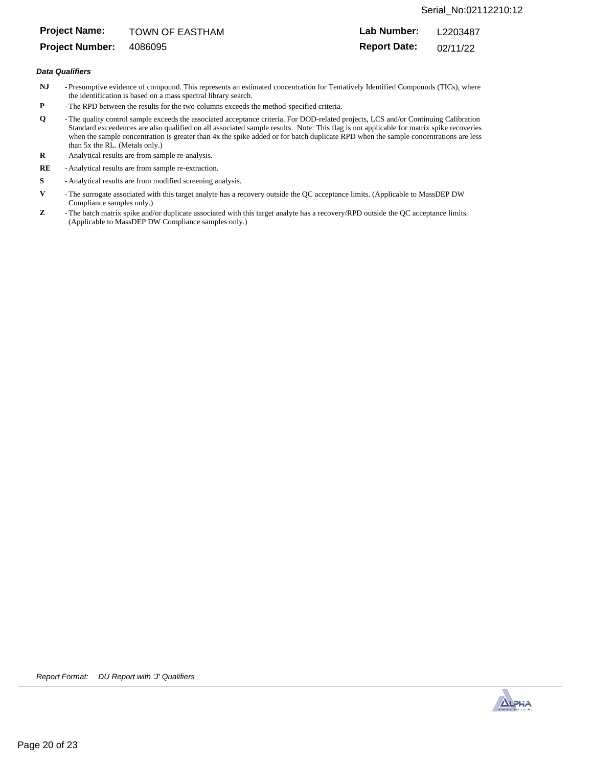# Serial\_No:02112210:12

# **Project Name:**

**Project Number:**

**Lab Number:** TOWN OF EASTHAM **Lab Number:** L2203487

4086095 **Report Date:** 02/11/22

### **Data Qualifiers**

- **NJ** - Presumptive evidence of compound. This represents an estimated concentration for Tentatively Identified Compounds (TICs), where the identification is based on a mass spectral library search.
- **P** - The RPD between the results for the two columns exceeds the method-specified criteria.
- **Q** - The quality control sample exceeds the associated acceptance criteria. For DOD-related projects, LCS and/or Continuing Calibration Standard exceedences are also qualified on all associated sample results. Note: This flag is not applicable for matrix spike recoveries when the sample concentration is greater than 4x the spike added or for batch duplicate RPD when the sample concentrations are less than 5x the RL. (Metals only.)
- **R** - Analytical results are from sample re-analysis.
- **RE** - Analytical results are from sample re-extraction.
- **S** - Analytical results are from modified screening analysis.
- **V** - The surrogate associated with this target analyte has a recovery outside the QC acceptance limits. (Applicable to MassDEP DW Compliance samples only.)
- **Z** - The batch matrix spike and/or duplicate associated with this target analyte has a recovery/RPD outside the QC acceptance limits. (Applicable to MassDEP DW Compliance samples only.)

Report Format: DU Report with 'J' Qualifiers

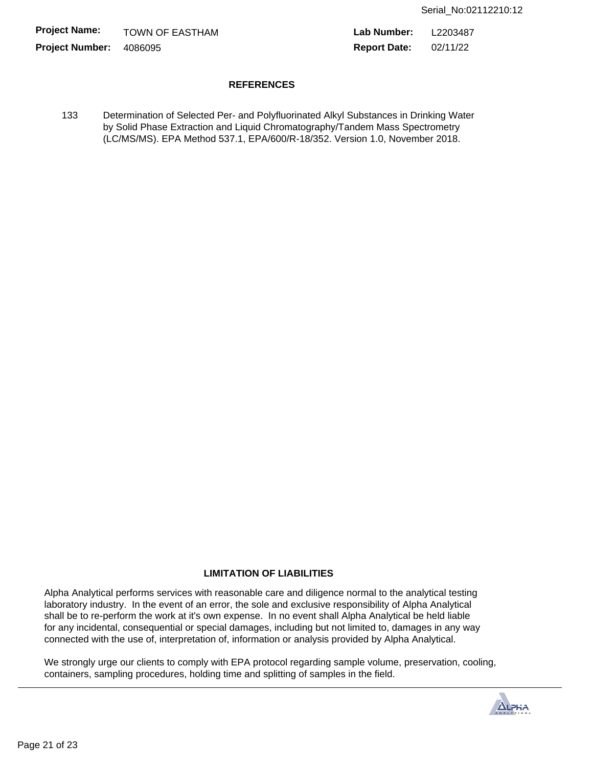**Project Name: Project Number:** 4086095

**Lab Number: Report Date:** TOWN OF EASTHAM **Lab Number:** L2203487 02/11/22

# **REFERENCES**

133 Determination of Selected Per- and Polyfluorinated Alkyl Substances in Drinking Water by Solid Phase Extraction and Liquid Chromatography/Tandem Mass Spectrometry (LC/MS/MS). EPA Method 537.1, EPA/600/R-18/352. Version 1.0, November 2018.

# **LIMITATION OF LIABILITIES**

Alpha Analytical performs services with reasonable care and diligence normal to the analytical testing laboratory industry. In the event of an error, the sole and exclusive responsibility of Alpha Analytical shall be to re-perform the work at it's own expense. In no event shall Alpha Analytical be held liable for any incidental, consequential or special damages, including but not limited to, damages in any way connected with the use of, interpretation of, information or analysis provided by Alpha Analytical.

We strongly urge our clients to comply with EPA protocol regarding sample volume, preservation, cooling, containers, sampling procedures, holding time and splitting of samples in the field.

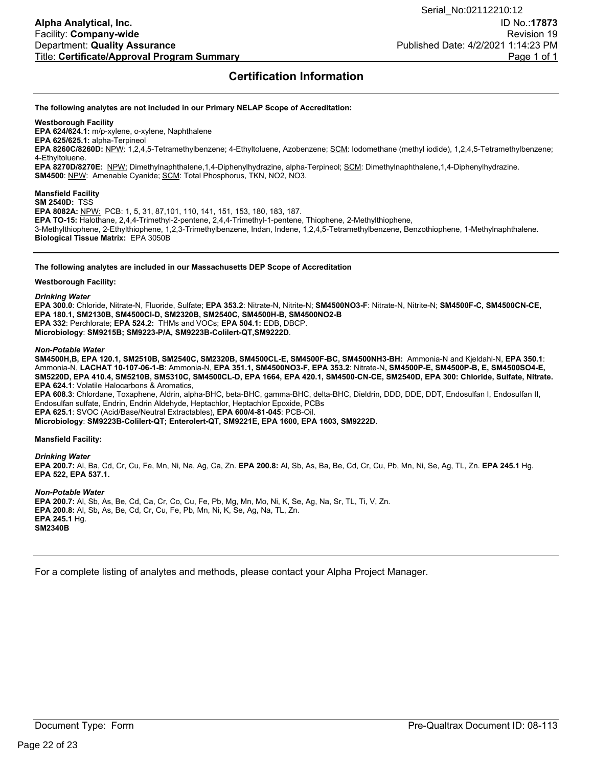# **Certification Information**

### **The following analytes are not included in our Primary NELAP Scope of Accreditation:**

### **Westborough Facility**

**EPA 624/624.1:** m/p-xylene, o-xylene, Naphthalene

**EPA 625/625.1:** alpha-Terpineol **EPA 8260C/8260D:** NPW: 1,2,4,5-Tetramethylbenzene; 4-Ethyltoluene, Azobenzene; SCM: Iodomethane (methyl iodide), 1,2,4,5-Tetramethylbenzene; 4-Ethyltoluene.

**EPA 8270D/8270E:** NPW: Dimethylnaphthalene,1,4-Diphenylhydrazine, alpha-Terpineol; SCM: Dimethylnaphthalene,1,4-Diphenylhydrazine. **SM4500**: NPW: Amenable Cyanide; SCM: Total Phosphorus, TKN, NO2, NO3.

## **Mansfield Facility**

**SM 2540D:** TSS **EPA 8082A:** NPW: PCB: 1, 5, 31, 87,101, 110, 141, 151, 153, 180, 183, 187. **EPA TO-15:** Halothane, 2,4,4-Trimethyl-2-pentene, 2,4,4-Trimethyl-1-pentene, Thiophene, 2-Methylthiophene, 3-Methylthiophene, 2-Ethylthiophene, 1,2,3-Trimethylbenzene, Indan, Indene, 1,2,4,5-Tetramethylbenzene, Benzothiophene, 1-Methylnaphthalene. **Biological Tissue Matrix:**EPA 3050B

### **The following analytes are included in our Massachusetts DEP Scope of Accreditation**

### **Westborough Facility:**

*Drinking Water*

**EPA 300.0**: Chloride, Nitrate-N, Fluoride, Sulfate; **EPA 353.2**: Nitrate-N, Nitrite-N; **SM4500NO3-F**: Nitrate-N, Nitrite-N; **SM4500F-C, SM4500CN-CE, EPA 180.1, SM2130B, SM4500Cl-D, SM2320B, SM2540C, SM4500H-B, SM4500NO2-B EPA 332**: Perchlorate; **EPA 524.2:** THMs and VOCs; **EPA 504.1:** EDB, DBCP. **Microbiology**: **SM9215B; SM9223-P/A, SM9223B-Colilert-QT,SM9222D**.

### *Non-Potable Water*

**SM4500H,B, EPA 120.1, SM2510B, SM2540C, SM2320B, SM4500CL-E, SM4500F-BC, SM4500NH3-BH:** Ammonia-N and Kjeldahl-N, **EPA 350.1**: Ammonia-N, **LACHAT 10-107-06-1-B**: Ammonia-N, **EPA 351.1, SM4500NO3-F, EPA 353.2**: Nitrate-N**, SM4500P-E, SM4500P-B, E, SM4500SO4-E, SM5220D, EPA 410.4, SM5210B, SM5310C, SM4500CL-D, EPA 1664, EPA 420.1, SM4500-CN-CE, SM2540D, EPA 300: Chloride, Sulfate, Nitrate. EPA 624.1**: Volatile Halocarbons & Aromatics,

**EPA 608.3**: Chlordane, Toxaphene, Aldrin, alpha-BHC, beta-BHC, gamma-BHC, delta-BHC, Dieldrin, DDD, DDE, DDT, Endosulfan I, Endosulfan II, Endosulfan sulfate, Endrin, Endrin Aldehyde, Heptachlor, Heptachlor Epoxide, PCBs **EPA 625.1**: SVOC (Acid/Base/Neutral Extractables), **EPA 600/4-81-045**: PCB-Oil.

**Microbiology**: **SM9223B-Colilert-QT; Enterolert-QT, SM9221E, EPA 1600, EPA 1603, SM9222D.**

### **Mansfield Facility:**

### *Drinking Water*

**EPA 200.7:** Al, Ba, Cd, Cr, Cu, Fe, Mn, Ni, Na, Ag, Ca, Zn. **EPA 200.8:** Al, Sb, As, Ba, Be, Cd, Cr, Cu, Pb, Mn, Ni, Se, Ag, TL, Zn. **EPA 245.1** Hg. **EPA 522, EPA 537.1.**

### *Non-Potable Water*

**EPA 200.7:** Al, Sb, As, Be, Cd, Ca, Cr, Co, Cu, Fe, Pb, Mg, Mn, Mo, Ni, K, Se, Ag, Na, Sr, TL, Ti, V, Zn. **EPA 200.8:** Al, Sb**,** As, Be, Cd, Cr, Cu, Fe, Pb, Mn, Ni, K, Se, Ag, Na, TL, Zn. **EPA 245.1** Hg. **SM2340B**

For a complete listing of analytes and methods, please contact your Alpha Project Manager.